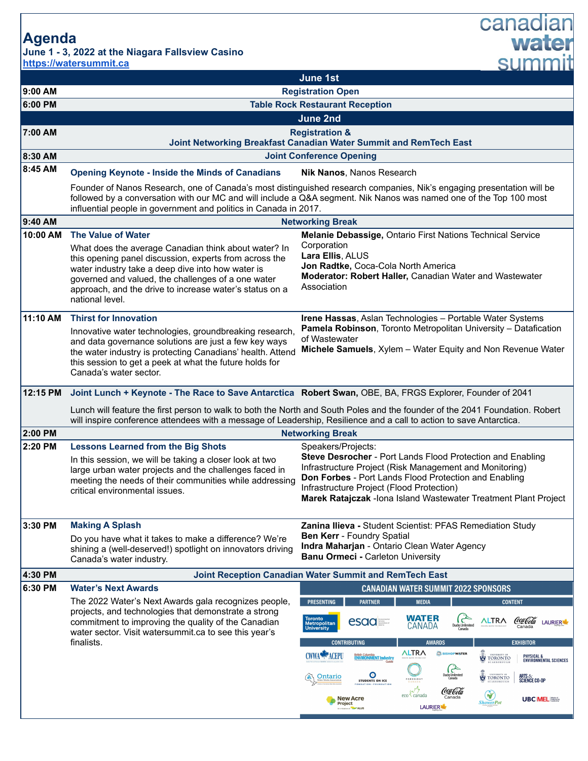**Agenda**

**https://watersummit.ca**



New Acre

projects, and technologies that demonstrate a strong commitment to improving the quality of the Canadian water sector. Visit watersummit.ca to see this year's finalists.

**WATER** Coca Cola **ALTRA** esaa **zi** LAURIER<sup>1</sup> CANADA **EXHIBITOR ALTRA SE BISHOPWATER** CWWA<sup>N</sup>ACEPU British Columbia<br>**ENVIRONMENT Industry OF TORONTO** PHYSICAL &<br>Environmental sciences **O**<br>ENTS ON ICE  $\overset{\scriptscriptstyle{\mathrm{UNIVBSTY~OF}}}}{\mathrm{TORONTO}}$ ARTS & SCIENCE CO-OP Ontario **STUD** Coca Cola eco canada

LAURIER

**UBC MELISSE** 

canadian